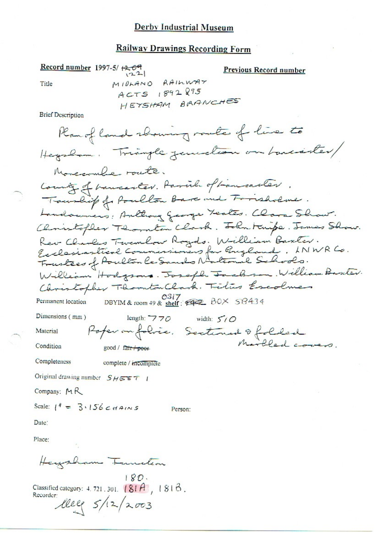#### **Railway Drawings Recording Form**

Record number 1997-5/ $\leftarrow$ 09 **Previous Record number**  $122$ MIDLAND RAILWAY Title ACTS 1892895 HEYSHAM BRANCHES **Brief Description** Ranof land showing route of live to Hegalam. Triangle junction on bancanter/ Moncromber route. County of bancanter. Parish of Lancanter. Tourlip of Poulton Bare and Forisholme. Landowners: Anthony George Teates. Clara Show. Christopher Thornton Clark. John Knife. James Show. Rev Clarles Twentow Royds. William Baxter.<br>Ecclesiastical Commissioners for Guzland. LNWR Co.<br>Frustees of Poulton le Sands National Schools. William Hodgsons. Joseph Jackson, William Basiler. Christopher Thornton Clark. Titus Escolner DBYIM & room 49 & shelf:  $\sqrt{9317}$  BOX 58434 Permanent location Dimensions (mm) length:  $770$  width:  $50$ Poper on folice. Sectioned & folded Material Marbled covers. Condition good / fair + poor Completeness complete / incomplete Original drawing number  $S H \subseteq F$  / Company:  $M$ R Scale:  $1^4 = 3.156 \text{ cm}$ Person: Date: Place:

Heizzham Tunition

 $180.$ Classified category: 4, 721, 301,  $[81A, 181B,$ Recorder: leel 5/12/2003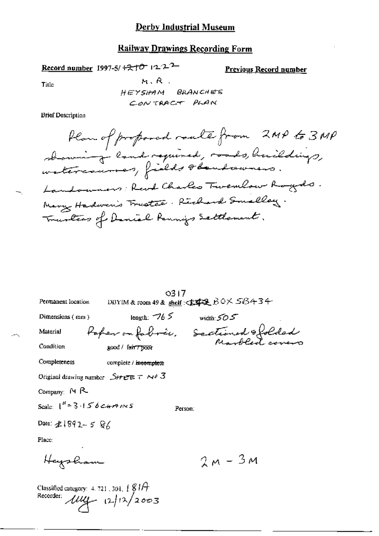### **Railway Drawings Recording Form**

Record number 1997-5/ $\pm 2\frac{1}{2}$  122<sup>2</sup>

**Previous Record number** 

Title

 $M, R$ . HEYSHAM BRANCHES CONTRACT PLAN

**Brief Description** 

How of proposed roate from 2MP to 3MP<br>abouting land required, roads, huildings, Landowners: Revol Charles Twenlow Royds. Mary Hadwen's Trustee. Richard Smelley. Transfers of Daniel Rennins Settlement.

|                                                                                               | 0317                                |                                                |  |
|-----------------------------------------------------------------------------------------------|-------------------------------------|------------------------------------------------|--|
| Permanent location                                                                            |                                     | DBYIM & room 49 & shelf : <b>宋李旻</b> BOX SB434 |  |
| Dimensions (mm)                                                                               |                                     | length: $-765$ width: $505$                    |  |
| Material                                                                                      | Paper on fabric, Sectioned & folded |                                                |  |
| Condition                                                                                     | good / fair / poor                  |                                                |  |
| Completeness                                                                                  | complete / incomplete               |                                                |  |
| Original drawing number $\mathcal{S}$ HEET Nº 3                                               |                                     |                                                |  |
| Company: MR                                                                                   |                                     |                                                |  |
| Scale: $1^H = 3.156$ c+rains                                                                  |                                     | Person:                                        |  |
| Date: $2.1892 - 586$                                                                          |                                     |                                                |  |
| Place:                                                                                        |                                     |                                                |  |
| Heysham                                                                                       |                                     | $2M - 3M$                                      |  |
| Classified category: $4.721.301, \frac{1}{2}$ $\frac{81}{7}$<br>Recorder: $\mu\mu$ 12/12/2003 |                                     |                                                |  |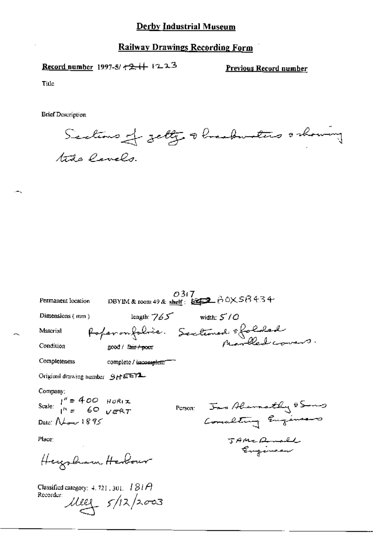Record number 1997-5/ +2+++ 1223

Previous Record number

Title

Sections of jetty abreadmenters orbowing tute levels.

| Permanent location                                                                  |                                          | 0317 -<br>DBYIM & room 49 & shelf: $\overbrace{\text{mod 2}}$ $\beta$ OX SB 434 |                      |
|-------------------------------------------------------------------------------------|------------------------------------------|---------------------------------------------------------------------------------|----------------------|
| Dimensions (mm)                                                                     | length: $765$                            | width: $5/0$                                                                    |                      |
| Material                                                                            |                                          | Poper on folice. Sectioned of folded<br>good/tairtoot from Marchel covers.      |                      |
| Condition                                                                           | good / fa <del>ir / poor</del>           |                                                                                 |                      |
| Completeness                                                                        | complete / incomplete <sup>--</sup>      |                                                                                 |                      |
| Original drawing number $9H^{\text{EETL}}$                                          |                                          |                                                                                 |                      |
| Company;<br>Scale: $I'' = 400$ HORIZ<br>$I'' = 60$ VERT<br>Date: $N_{\rm env}$ 1895 |                                          | Person: Jas Alemathy 8 Song                                                     | Concelling Engineers |
| Place:<br>Heysham Herbour                                                           |                                          |                                                                                 | JAMERMAL<br>Engineer |
| Classified category: $4.721.301.$ $181A$<br>Recorder:                               | $\mu_{2}$ $\frac{1}{2}$ $\frac{1}{2003}$ |                                                                                 |                      |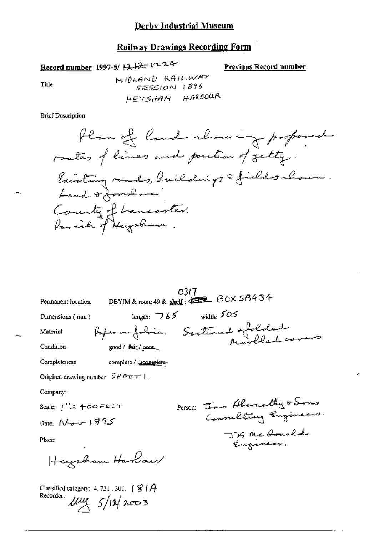# **Railway Drawings Recording Form**

Record number 1997-5/ $\frac{1}{2}$ 

Previous Record number

Title

| 0317.<br>DBYIM & room 49 & shelf: 492 BOX SB434                                                  |
|--------------------------------------------------------------------------------------------------|
| Permanent location                                                                               |
| width: $505$<br>length: $\overline{765}$<br>Dimensions (nun)                                     |
| Paper on fobric. Sectioned effolded<br>Material                                                  |
| Condition<br>good / fair / poor                                                                  |
| Completeness<br>complete / incomplete-                                                           |
| Original drawing number $SHE \equiv T \mid$ .                                                    |
| Company:                                                                                         |
| Person: Ins Abernathy & Sons<br>Scale: <i> ''ユ</i> +ののデ年ます                                       |
| Consulting Engineers.<br>Date: $N_{\text{max}}$ 1995                                             |
| JAME Ronald<br>Placc:                                                                            |
| Heysham Harbour                                                                                  |
| Classified category: $4.721 \cdot 301$ . $\int g / \hat{H}$<br>Recorder:<br>$\mu$ ug $5/11/2003$ |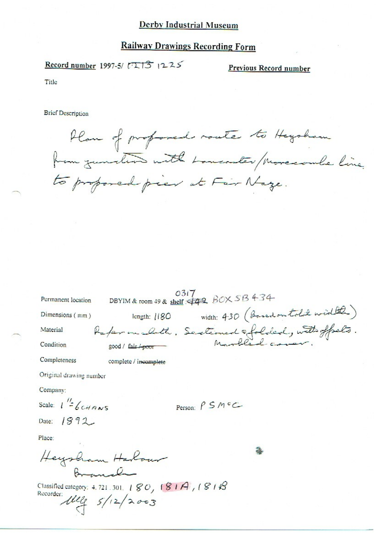# **Railway Drawings Recording Form**

Record number 1997-5/ 713 1225

Previous Record number

Title

Plan of proformed route to Heysham to proposed pier at Fair Naze.

| Permanent location                      | 0317<br>DBYIM & room 49 & shelf: 442 BOX SB 434                                   |  |
|-----------------------------------------|-----------------------------------------------------------------------------------|--|
| Dimensions (mm)                         | width: 430 (Boschontold width)<br>length: $1180$                                  |  |
| Material                                | Raper on cloth. Sectioned efolded, with offsets.<br>good/sixpoor - Marbled comer. |  |
| Condition                               |                                                                                   |  |
| Completeness                            | complete / incomplete                                                             |  |
| Original drawing number                 |                                                                                   |  |
| Company:                                |                                                                                   |  |
| Scale: $1 - 6c$ <i>HANS</i>             | Person: $P S M C$                                                                 |  |
| Date: 1892                              |                                                                                   |  |
| Place:                                  |                                                                                   |  |
| Heysham Harbour<br>$B_{\text{max}} = 1$ |                                                                                   |  |
| Recorder:                               | Classified category: 4.721.301. $180, 181A, 181B$<br>1122/2003                    |  |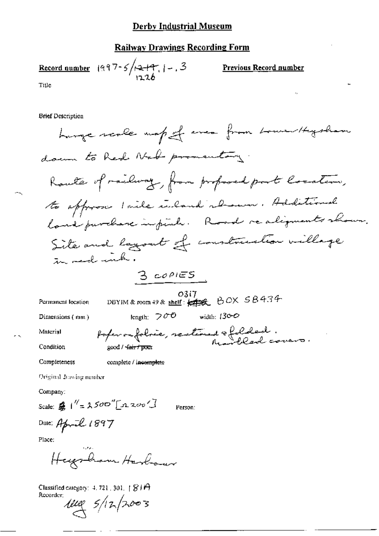# **Railway Drawings Recording Form**

|       | Record number $ 997-5/12+17 $ , $ -3$ . |
|-------|-----------------------------------------|
| Title |                                         |

 $\cdot$ 

Previous Record number

 $\triangleright$ 

J,

Title

**Brief Description** 

length:  $700$  width: 130-0

Dimensions (mm)

poper on folsec, sectioned & folded.<br>Marblad covers. good / fair / pour

Condition

Material

Completeness

Original Jraving number

Company:

Scale:  $\frac{d}{d\theta}$  |  $'' = 2500$   $''$  [2200']

Person:

Date: April 1897

Place:

بالمراقيات Heigham Harbour

complete / incomplete

Classified category: 4, 721, 301,  $\uparrow$   $\otimes$  J $\leftrightarrow$ Recorder;

 $\frac{1}{4}$  5/12/2003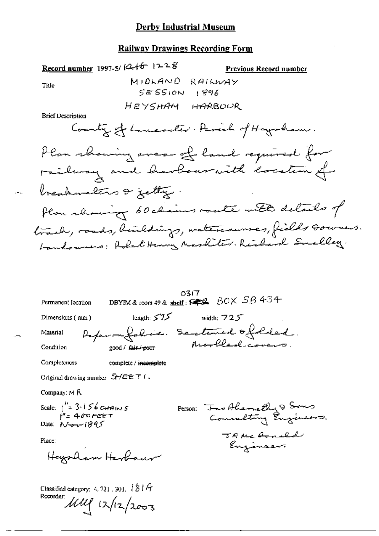# **Railway Drawings Recording Form**

÷.,

|                                                                                                           | Record number 1997-5/ $(2 + 6 - 12 - 8)$                       | Previous Record number                                                                                                                                     |
|-----------------------------------------------------------------------------------------------------------|----------------------------------------------------------------|------------------------------------------------------------------------------------------------------------------------------------------------------------|
| Title                                                                                                     | MIOLAND<br>SESSION                                             | RAILWAY                                                                                                                                                    |
| <b>Brief Description</b>                                                                                  | НЕУ5НАМ                                                        | । ४१६<br>HARBOUR<br>Country of Lancaster. Parech of Haysbram.                                                                                              |
|                                                                                                           | breachanalins & fetty.                                         | Plan showing aver of land required for<br>railway and harbouraith location of<br>Plan change 60 chains route with details of                               |
|                                                                                                           |                                                                | track, roads, buildings, watercourses, fields Gowners.<br>Landounes: Robert Henry Markiter. Richard Smalley.                                               |
| Permanent Iocation<br>Dimensions ( mm )<br>Material<br>Condition                                          | $length: 575$ width: $725$<br>good / fair / <del>p</del> oor · | 0317<br>DBYIM & room 49 & shelf: $\overline{\text{exp}}$ $\overline{BC} \times \overline{SB}$ 434<br>Reparamalabrico. Sentimento folded.<br>Marbleshavens. |
| Completeness<br>Original drawing number $S/HEET$ (,                                                       | complete / i <del>ncomplete</del>                              |                                                                                                                                                            |
| Company: $M \, R$<br>Scale: $1'' = 3.156$ CHAINS<br>$i'' = 400FET$<br>Date: $N_{\text{c}}/1895$<br>Place: |                                                                | Person: Jas Ahemethy & Sons<br>Consulting Engineers.<br>JAME Arnold<br>Engineers                                                                           |
| Classified category: 4, 721 , 301, $181A$<br>Recorder:                                                    | Hazzalam Harbaur<br>$1111$ $12/12003$                          |                                                                                                                                                            |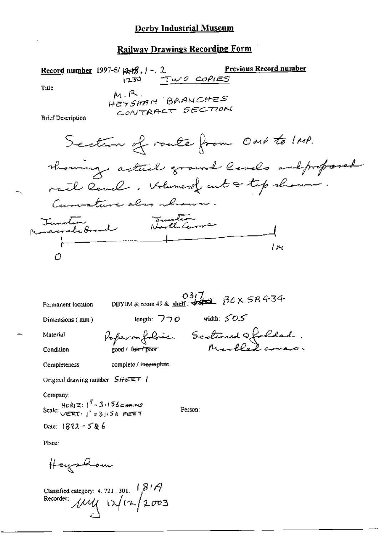**Previous Record number** Record number 1997-5/ $\forall x \exists 3$ ,  $1 - 2$ .  $1230$  TWO COPIES Title  $M, R$ . HEYSHAM BRANCHES CONTRACT SECTION **Brief Description** Section of roate from OMP to IMP. showing actual ground levels and proposed rail level. Holumesof cut of tip shown. Currentiere also abrown Tuncture Tuncture  $\mu$ Ô 0317<br>DBYIM & room 49 & shelf:  $\frac{0317}{222}$   $\beta$ CX SB 434 Permanent location length:  $770$  width:  $505$ Dimensions (mm) Poperonfolie. Sectioned Ofolded.<br>cood turnoot Marbled covers. Material good / f<del>eir / poor</del> Condition complete / inecomplete Completeness Original drawing number  $SHEET$  / Company: Scale:  $\frac{1}{\sqrt{2R}T}$ ;  $\frac{1}{2}$  = 3.156 FEET Person: Date:  $1892 - 586$ Place: Heyshow

Classified category: 4.721, 301.  $\frac{1814}{802}$ <br>Recorder:  $\mu\mu$   $\mu$   $\mu$   $\mu$   $\mu$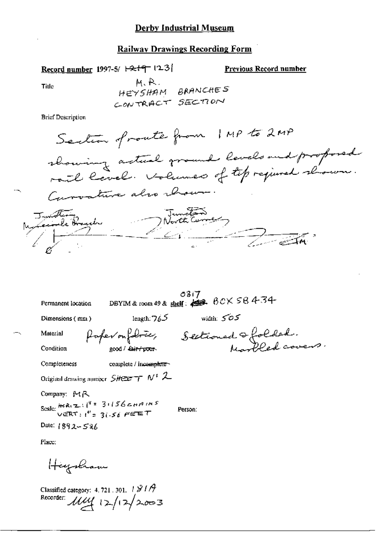#### **Railway Drawings Recording Form**

Record number 1997-5/ $\pm 2$ +9  $\pm 3$ 

Previous Record number

**Title** 

 $-1$ 

M.R. HEYSHAM BRANCHES CONTRACT SECTION

**Brief Description** 

| Permanent location | 0317<br>DBYIM & room 49 & shell: $\frac{1}{2}$ $\frac{1}{6}$ $\frac{1}{6}$ $\frac{1}{6}$ $\frac{1}{6}$ $\frac{1}{6}$ $\frac{1}{6}$ $\frac{1}{6}$ $\frac{1}{6}$ $\frac{1}{6}$ $\frac{1}{6}$ $\frac{1}{6}$ $\frac{1}{6}$ $\frac{1}{6}$ $\frac{1}{6}$ $\frac{1}{6}$ $\frac{1}{6}$ $\frac{1}{6}$ $\frac{1}{6}$ $\frac{1}{$ |  |
|--------------------|------------------------------------------------------------------------------------------------------------------------------------------------------------------------------------------------------------------------------------------------------------------------------------------------------------------------|--|
|                    |                                                                                                                                                                                                                                                                                                                        |  |

Dimensions (mm)

length:  $765$  width:  $505$ 

Material Condition

good / fair / poor

Paper on fabrice, Sectionnant & folded.<br>soot letterpoon hearbled covers.

Completeness

complete / incomplete~

Original drawing number  $SHEZ = T N^6$  2

Company: MR

Scale: HeREZ:  $1^{4}$  = 31156 cmAINS<br>VERT:  $1^{4}$  = 31.56 FEET

Person:

Date: 1892-586

Place:

Haysham

Classified category: 4, 721, 301,  $\pm$  3/1 $\beta$ Recorder:  $\mu\mu$  12/12/2003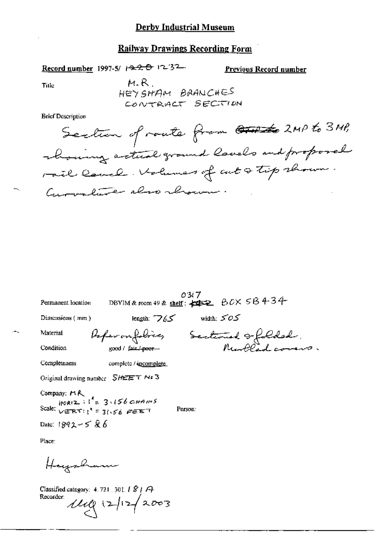Record number 1997-5/ 1220 1232

Previous Record number

Title

 $M.R$ HEY SHAM BRANCHES CONTRACT SECTION

**Brief Description** 

 $03i7$ <br>DBVIM & room 49 & shelf:  $\neq \neq 2$   $\beta$   $0 \times$   $5\beta$  4 3 4 Permanent location length:  $765$  width:  $505$ Dimensions (mm) Paparonfobier, Sectionnel & folded. Material Condition Completeness complete / incomplete Original drawing number SHEET No 3 Company: PLA Scale:  $HOR(Z, Y) = 3.156 \text{ cm/s}$ <br>Scale:  $VERT: \frac{1}{1} = 31.56 \text{ cm}^2$ Person: Date: 1892-5 & 6 Place: Hugsham

Classified category:  $4.721$ ,  $301$ ,  $181$ Recorder:  $1119 |12| 2003$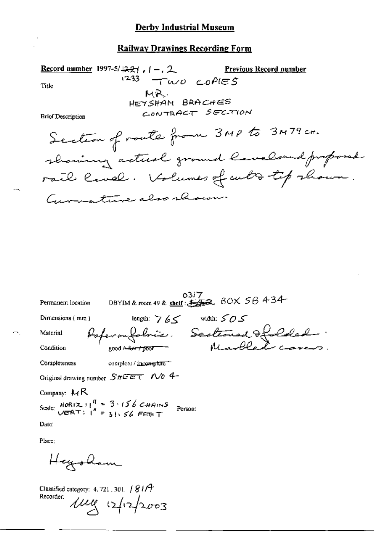Record number 1997-5/4221,  $(-, 2)$ Previous Record number  $1233$  TWO COPIES Title MR. HEYSHAM BRACHES CONTRACT SECTION **Brief Description** Section of route from 3MP to 3M79 cm. showing actual ground lavelsand proposed rail lavel. Volumes of cutto top shown. Germature also rhow.

| Permanent location | DBYIM & room 49 & shelf: \$\$\$\$. BOX 58 434                                                  | 5317 |              |  |
|--------------------|------------------------------------------------------------------------------------------------|------|--------------|--|
| Dimensions $(mn)$  | length $765$                                                                                   |      | width: $505$ |  |
| Material           | Paperonfoloire. Sectionnel & Coled .                                                           |      |              |  |
| Condition          | good A <del>-fair / poor</del>                                                                 |      |              |  |
| Completeness       | complete / incomplete"                                                                         |      |              |  |
|                    | Original drawing number $S$ #EET N/0 4-                                                        |      |              |  |
| Company: $M$ R     |                                                                                                |      |              |  |
|                    | Scale: $HOR(Z, Y   Y = 3.156 \text{ C-HAINS}$ Person:<br>$VERN(X, Y   Y = 3.156 \text{ FESF})$ |      |              |  |
| Date:              |                                                                                                |      |              |  |

Place;

Heysham

Classified category: 4.721.301. | 81/7 Recorder: lug 12/12/2003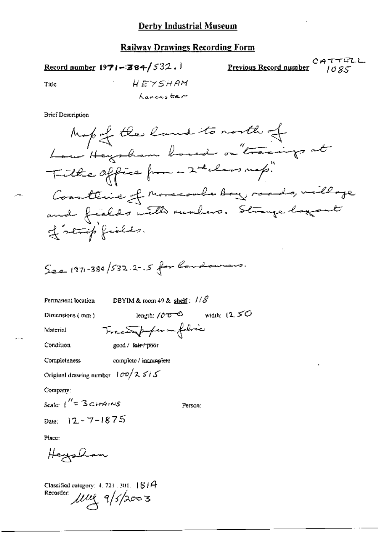Record number  $1971 - 384 / 532.$ 

 $C \nrightarrow \tau \tau \in L$ .<br>Previous Record number  $1085$ 

Title

HEYSHAM Lancaster

#### **Brief Description**

Permanent location

DBYIM & toom 49 & shelf:  $1/8$ 

Dimensions (mm)

Material

Tractopoper on folice

Condition

good / fair proof

Completeness complete / incomplete

Original drawing number  $i \sigma v / \lambda s i s$ 

Company:

Scale:  $1^{\prime\prime}$  = 3 citatins

Person:

Date:  $12 - 7 - 1875$ 

Place:

Heysham

Classified category: 4, 721, 301,  $81A$ Recorder use 9/5/2003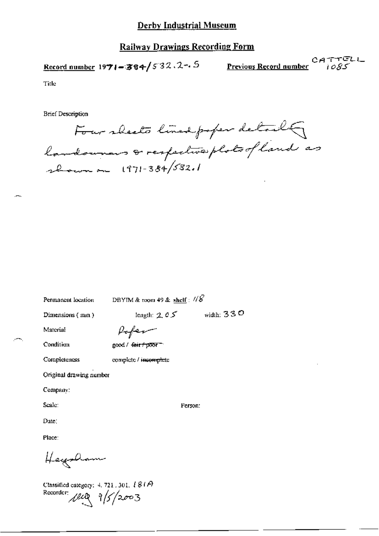# Railway Drawings Recording Form

Record number 1971-384/532.2-5

CATTELL<br>Previous Record number  $\qquad \qquad$  i ogs

Title

**Brief Description** 

Four sheets lined poper detail landownars & respective plots of land as 2 cours on 1971-384/532.1

Permanent location

DBYIM & room 49 & shelf:  $\sqrt{g}$ 

Dimensions (mm)

Poper

Condition

Completeness

Material

good / fair + poor -

complete / incomplete

Original drawing number

Company:

Scale:

Date:

Place:

Heysham

Classified category: 4, 721, 301,  $181A$ Recorder  $\mu$ e  $\frac{1}{5}/2003$ 

Person:

length:  $2.05$  width:  $330$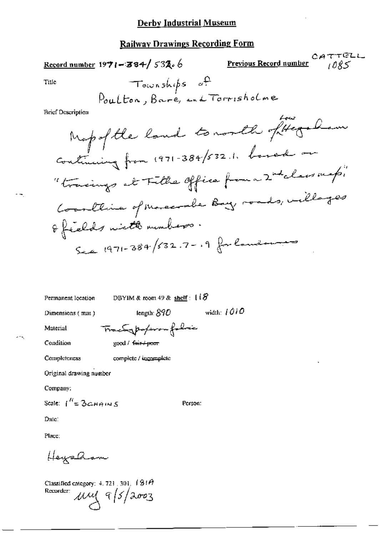$CATTELL$ Previous Record number

Title

 $1 + \epsilon$   $\Omega$ 

**Brief Description** 

Permanent location

DBYIM & room 49 & shelf:  $118$ 

Person:

Dimensions (mm)

length:  $890$  width:  $1010$ 

Material

**Completeness** 

Condition

Tractypoferoufolic good / fair+poor

complete / incomplete

Original drawing number

Company:

Scale:  $1^{\prime\prime}$  = 3 c HAINS

Date:

Place:

Heysaam

Classified category:  $4.721$ ,  $301$ ,  $181A$  $mgq(5/2003)$ Recorder: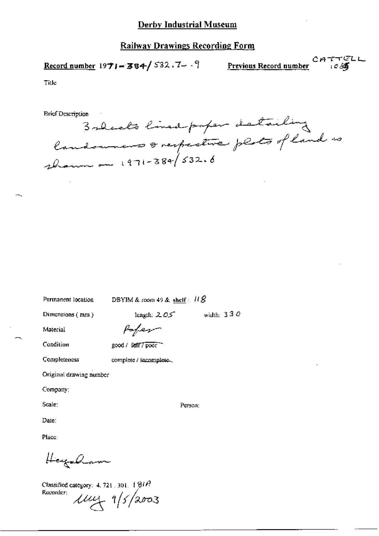Record number 1971-384/532.7- -9

 $CHTTCDL$ Previous Record number

Title

**Brief Description** 

Balcolo lined paper detailing landowners & respective plats of land as

Permanent location

DBYIM & room 49 & shelf:  $\text{118}$ 

length:  $2.05$ 

Dimensions (mm)

width:  $330$ 

Person:

Material

Poper

Condition

Completeness

good / fatt7 poor

complete / incomplete.

Original drawing number

Company:

Scale:

Date:

Place:

Hagaham

Classified category: 4, 721 , 301,  $+$   $91A$ Recorder:  $1144 + 1/5/2003$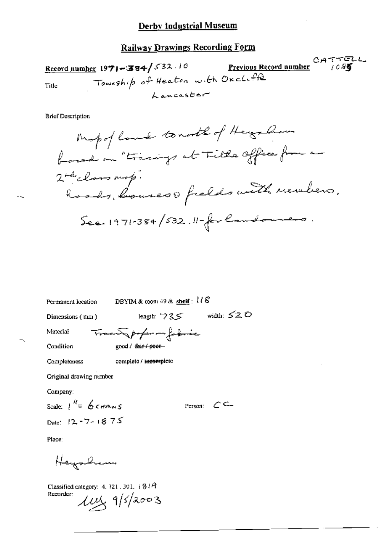$CATTELL$ Record number 1971-384/532.10 Previous Record number Township of Heaton with Oxcluffe Title Lancaster

**Brief Description** 

Person:  $C \subseteq$ 

Permanent location DBYIM & room 49 & shelf:  $118$ length:  $735$  width:  $520$ Dimensions (mm) Trace profer on formic Material Condition good / fair / poor-Completeness complete / incomplete

Original drawing nember

Company:

Scale:  $1^{\prime\prime} = 6$  channes

Date: 12-7-1875

Place:

Heynkin

Classified category: 4, 721 , 301,  $\pm 8\pm 4$ Recorder:  $\mu$ y 9/5/2003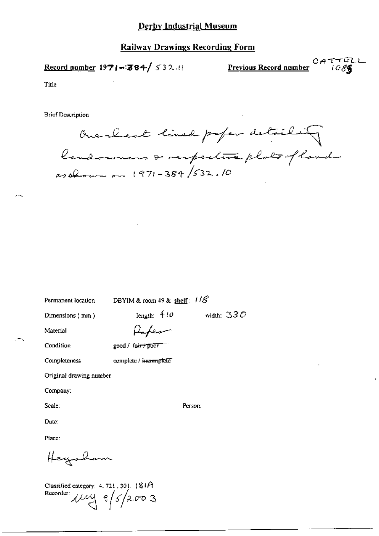#### **Railway Drawings Recording Form**

Record number 1971-384/ 532.11

 $C A T T C L L$ <br>Previous Record number (*OS* 

Title

**Brief Description** 

Ouesleet lined paper detailing as obtain on 1971-384/532.10

Permanent location

DBYIM & room 49 & shelf:  $118^{\circ}$ 

Dimensions (min)

Iength:  $410$ width:  $330$ 

Person:

Material

Condition

good / fair+poor

Completeness complete / incomplete"

Original drawing number

Company:

Scale:

Date:

Place:

Heysham

Classified category:  $4.721$ ,  $301$ . ( $81A$ Recorder:  $\mu$  $\sim$   $\frac{4}{5}$  2003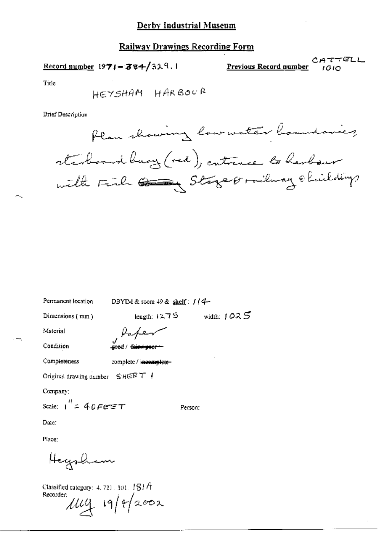#### **Railway Drawings Recording Form**

Record number 1971-384/329.1

Previous Record number

CATTELL rain

Tide

**Brief Description** 



Permanent location

DBYIM & room 49 & shelf:  $1/4$ -

Dimensions (mm)

width:  $1025$ length: 1275

Person:

Material

Kater good / <del>faint-poc</del>

Condition

Completeness

complete / incomplete-

Original drawing number  $SHEF$  T {

Company:

Scale:  $1^{H}$  = 40 Feter

Date:

Place:

Hegsham

Classified category:  $4.721$ , 301,  $181A$ Recorder:  $\mu$ ug 19/4/2002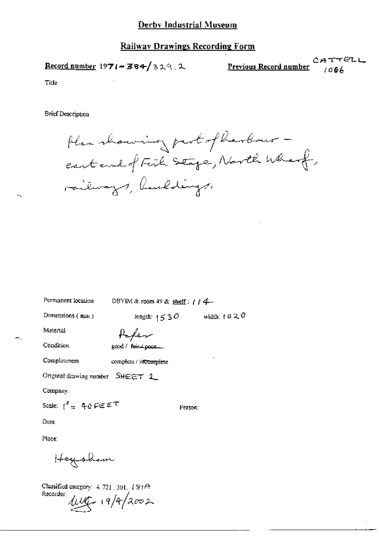#### **Railway Drawings Recording Form**

Record number 1971-384/329.2

 $CATTETL$ Previous Record number  $1006$ 

Title

**Brief Description** 

Permanent location

Plan showing part of harbour eastend of Fish Stage, North Wharf, railways, hueldings,

width:  $\ell \partial \mathcal{R} \mathcal{O}$ 

| Dimensions (mm)                                   | length: $1530$                                |
|---------------------------------------------------|-----------------------------------------------|
| Material                                          |                                               |
| Condition                                         | Pa <i>fer</i><br>good/ <del>Reis</del> + poor |
| Completeness                                      | complete / incomplete                         |
| Original drawing number $\,$ $S$ HEET $\,$ 2 $\,$ |                                               |
| Company:                                          |                                               |
| Scale: ( <sup>∦</sup> = 40 ೯∈೯೯                   | Person:                                       |

DBYIM & room 49 & shelf:  $1/4$ 

Date:

Place:

Heysham

Classified category: 4, 721, 301, 181A Recorder:  $100 - 19/42002$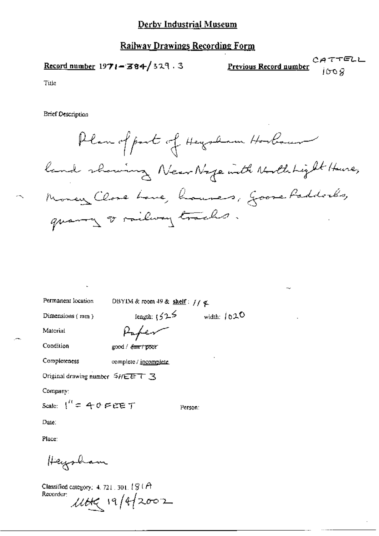#### **Railway Drawings Recording Form**

 $CATTELL$ Record number  $1971 - 384 / 329$ . 3 Previous Record number iloo Q

Title

**Brief Description** 

Plan of part of Heysham Horbourn land showing NearNage with Northhight Hune, Money Close Lave, houses, Goose Paddocks, quarry or milway tracks.

Permanent location

DBYIM & room 49 & shelf:  $1/4$  &

Dimensions  ${m_n}$ 

length:  $1525$ width:  $1020$ 

Material

Paper

Condition

good / *farr / poor* 

Completeness complete / jncomplete

Original drawing number SHEET 3

Company:

Scale:  $1'' = 40$  FEET

Person:

Date:

Place:

Haysham

Classified category:  $4.721.301.19.0$ Recorder:  $1100219/42002$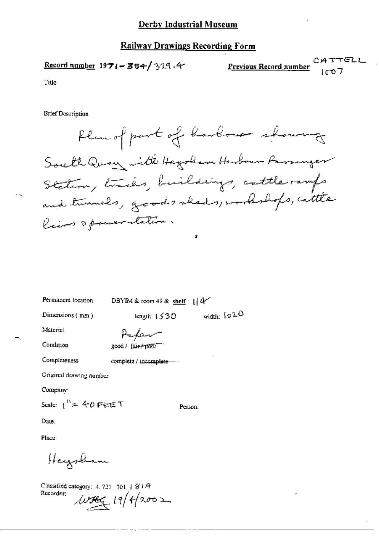Record number  $1971 - 384 / 329.4$ 

 $CATTELL$ Previous Record number

Title

**Brief Description** 

Plan of port of harbour showing South Quay with Hegotham Harbour Parsanger Station, tracks, buildings, cattle ramps and tunnels, goods skeds, workshops, cattle lairs opposeratation.

Permanent location

DBYIM & room 49 & shelf:  $1/4$ 

Dimensions (mm)

length:  $1530$ 

width: 1020

Material

Refer good / fair-poor

Condition

Completeness

complete / incomplete-

Original drawing number

Company:

Scale:  $1^{\prime\prime}$  = 40 FEET

Person:

Date:

Place:

Heysham

Classified category:  $4.721$ ,  $301.1$   $81A$ Recorder:  $w_{\frac{1}{2}}(11/4/2002)$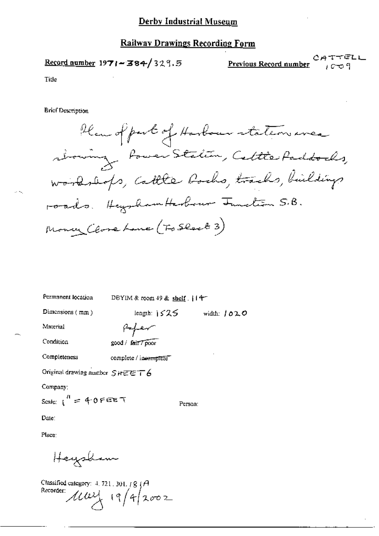#### **Railway Drawings Recording Form**

Record number  $1971 - 384/329.5$ 

CATTELL Previous Record number ≀ణాంු 9

Title

Han of part of Harbour stateon avec rbowing Power Station, Cettle Paddocks, workshops, Cattle Bochs, tracks, buildings roads. Hegyham Harbour Iunclion 5.B. Money (love Lane (Fo Slock 3)

| Permanent location             | DBYIM & room 49 & shelf .   14  |         |               |  |
|--------------------------------|---------------------------------|---------|---------------|--|
| Dimensions (mm)                | length: $\frac{1}{2}$ $\leq$ 25 |         | width: $1020$ |  |
| Material                       | بمسمسهم                         |         |               |  |
| Condition                      | good / fair 7 poor              |         |               |  |
| Completeness                   | complete / incomplete           |         |               |  |
| Original drawing number SHEET6 |                                 |         |               |  |
| Company:                       |                                 |         |               |  |
| Scale: $1^{11}$ = 40 FEET      |                                 | Person: |               |  |
| Date:                          |                                 |         |               |  |
| Place:                         |                                 |         |               |  |
|                                |                                 |         |               |  |

Heysham

Classified category:  $4, 721, 301, 18, 14$ Recorder: 114/4/2002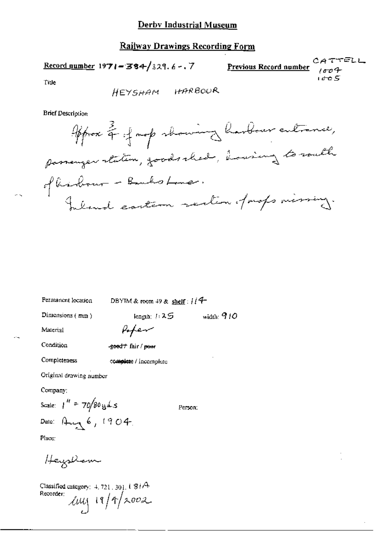Record number 1971-384/329.6-.7

CATTELL Previous Record number  $1004$ rd o S

Title

HEYSHAM HARBOUR

**Brief Description** 



Permanent location DBYIM & room 49 & shelf :  $114$ 

Dimensions (mm)

width:  $910$ 

Person;

Material

Condition

-good + fair / pour

Poper

length:  $1:25$ 

complete / incomplete

Original drawing number

Company:

Completeness

Scale:  $1'' = 70/80$  g d s

Date: Aug 6, 1904.

Place:

Hazzkom

Classified category:  $4.721,301,181$ <sup>A</sup> Recorder:  $\ln\frac{1}{1}$  19/9/2002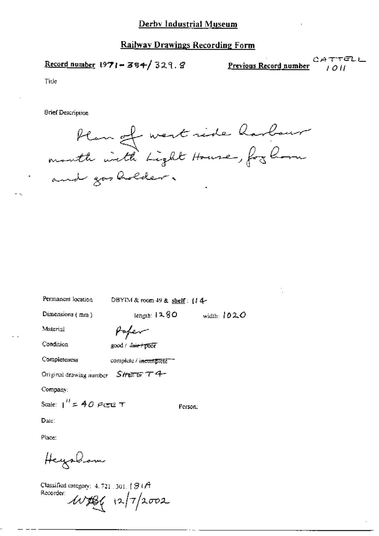Record number 1971-384/329.8

Previous Record number

CATTELL 1 O H

Tide

**Brief Description** 

blan of west side harbour and gos holder.

Permanent location DBYIM & room 49 & shelf: (14-

Dimensions  $(mn)$ 

 $length: 1280$ width:  $1020$ 

Person:

Material

Condition

Poper good / fair+poor

Completeness

complete / incomplete \*\*\*

Original drawing number  $S$ HEET  $T$  4-

Company:

Scale:  $I'' = 40$  PCE T

Date:

Place:

Heyaham

Classified category:  $4.721$ , 301,  $181A$ Recorder:  $40486$   $(2)7/2002$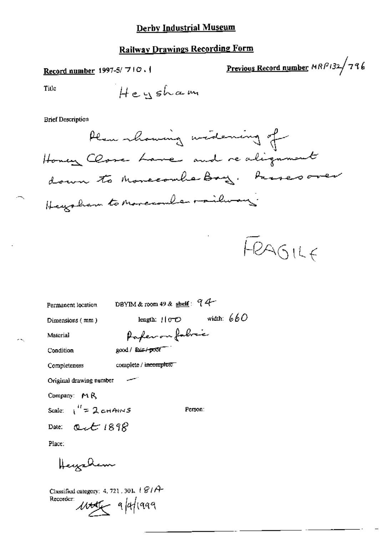# **Railway Drawings Recording Form**

Record number 1997-5/ $710.1$ 

Previous Record number MRP132/796

Title

**Brief Description** 

Plan rhowing widering of Honey Close Lave and realignment down to Monccomberbay. Passes over Heysham to Morecouler railway.

FRAGILE

DBYIM & room 49 & shell:  $94-$ Permanent location length:  $110-0$  width:  $660$ Dimensions (mm) Paper on folice Material good / fair / poor Condition Completeness complete / incomplete Original drawing number Company: MR Scale:  $\frac{1}{1}$  = 2 cHAINS Person:  $Q_t t$  1898 Date: Place: Heysham

Classified category: 4, 721, 301,  $\pm$   $\mathcal{C}/\mathcal{A}^{\perp}$ Recorder:

 $\mu$ tt $\leftarrow$  9/4/1999